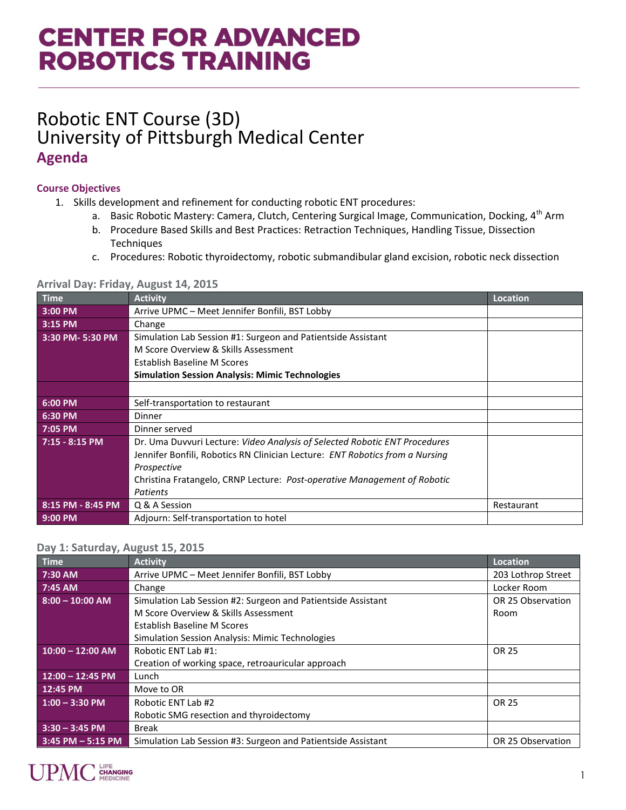# **CENTER FOR ADVANCED ROBOTICS TRAINING**

### Robotic ENT Course (3D) University of Pittsburgh Medical Center **Agenda**

### **Course Objectives**

- 1. Skills development and refinement for conducting robotic ENT procedures:
	- a. Basic Robotic Mastery: Camera, Clutch, Centering Surgical Image, Communication, Docking, 4<sup>th</sup> Arm
	- b. Procedure Based Skills and Best Practices: Retraction Techniques, Handling Tissue, Dissection **Techniques**
	- c. Procedures: Robotic thyroidectomy, robotic submandibular gland excision, robotic neck dissection

| <b>Time</b>       | <b>Activity</b>                                                                 | <b>Location</b> |
|-------------------|---------------------------------------------------------------------------------|-----------------|
| 3:00 PM           | Arrive UPMC - Meet Jennifer Bonfili, BST Lobby                                  |                 |
| 3:15 PM           | Change                                                                          |                 |
| 3:30 PM-5:30 PM   | Simulation Lab Session #1: Surgeon and Patientside Assistant                    |                 |
|                   | M Score Overview & Skills Assessment                                            |                 |
|                   | Establish Baseline M Scores                                                     |                 |
|                   | <b>Simulation Session Analysis: Mimic Technologies</b>                          |                 |
|                   |                                                                                 |                 |
| 6:00 PM           | Self-transportation to restaurant                                               |                 |
| 6:30 PM           | Dinner                                                                          |                 |
| 7:05 PM           | Dinner served                                                                   |                 |
| $7:15 - 8:15$ PM  | Dr. Uma Duvvuri Lecture: Video Analysis of Selected Robotic ENT Procedures      |                 |
|                   | Jennifer Bonfili, Robotics RN Clinician Lecture: ENT Robotics from a Nursing    |                 |
|                   | Prospective                                                                     |                 |
|                   | Christina Fratangelo, CRNP Lecture: <i>Post-operative Management of Robotic</i> |                 |
|                   | Patients                                                                        |                 |
| 8:15 PM - 8:45 PM | Q & A Session                                                                   | Restaurant      |
| $9:00$ PM         | Adjourn: Self-transportation to hotel                                           |                 |

#### **Arrival Day: Friday, August 14, 2015**

#### **Day 1: Saturday, August 15, 2015**

| Time                 | <b>Activity</b>                                              | Location           |
|----------------------|--------------------------------------------------------------|--------------------|
| 7:30 AM              | Arrive UPMC - Meet Jennifer Bonfili, BST Lobby               | 203 Lothrop Street |
| 7:45 AM              | Change                                                       | Locker Room        |
| $8:00 - 10:00$ AM    | Simulation Lab Session #2: Surgeon and Patientside Assistant | OR 25 Observation  |
|                      | M Score Overview & Skills Assessment                         | Room               |
|                      | Establish Baseline M Scores                                  |                    |
|                      | <b>Simulation Session Analysis: Mimic Technologies</b>       |                    |
| $10:00 - 12:00$ AM   | Robotic ENT Lab #1:                                          | OR 25              |
|                      | Creation of working space, retroauricular approach           |                    |
| $12:00 - 12:45$ PM   | Lunch                                                        |                    |
| 12:45 PM             | Move to OR                                                   |                    |
| $1:00 - 3:30$ PM     | Robotic ENT Lab #2                                           | OR 25              |
|                      | Robotic SMG resection and thyroidectomy                      |                    |
| $3:30 - 3:45$ PM     | <b>Break</b>                                                 |                    |
| $3:45$ PM $-5:15$ PM | Simulation Lab Session #3: Surgeon and Patientside Assistant | OR 25 Observation  |